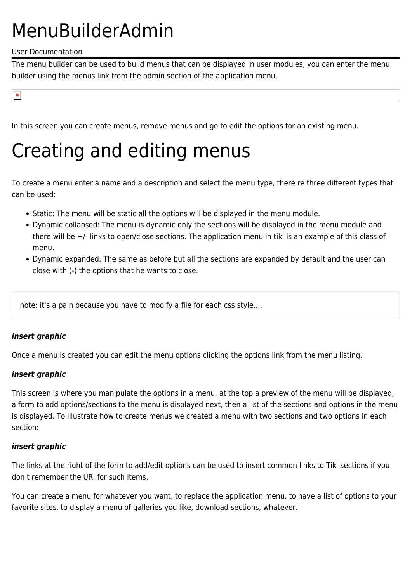# MenuBuilderAdmin

#### User Documentation

The menu builder can be used to build menus that can be displayed in user modules, you can enter the menu builder using the menus link from the admin section of the application menu.

 $\pmb{\times}$ 

In this screen you can create menus, remove menus and go to edit the options for an existing menu.

### Creating and editing menus

To create a menu enter a name and a description and select the menu type, there re three different types that can be used:

- Static: The menu will be static all the options will be displayed in the menu module.
- Dynamic collapsed: The menu is dynamic only the sections will be displayed in the menu module and there will be +/- links to open/close sections. The application menu in tiki is an example of this class of menu.
- Dynamic expanded: The same as before but all the sections are expanded by default and the user can close with (-) the options that he wants to close.

note: it's a pain because you have to modify a file for each css style....

#### *insert graphic*

Once a menu is created you can edit the menu options clicking the options link from the menu listing.

#### *insert graphic*

This screen is where you manipulate the options in a menu, at the top a preview of the menu will be displayed, a form to add options/sections to the menu is displayed next, then a list of the sections and options in the menu is displayed. To illustrate how to create menus we created a menu with two sections and two options in each section:

#### *insert graphic*

The links at the right of the form to add/edit options can be used to insert common links to Tiki sections if you don t remember the URI for such items.

You can create a menu for whatever you want, to replace the application menu, to have a list of options to your favorite sites, to display a menu of galleries you like, download sections, whatever.